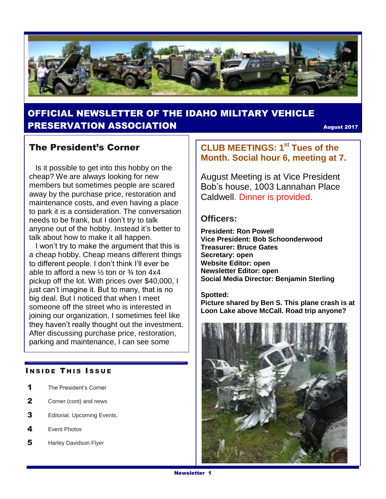

## OFFICIAL NEWSLETTER OF THE IDAHO MILITARY VEHICLE **PRESERVATION ASSOCIATION CONSUMING THE CONSUMING AUGUST 2017**

#### The President's Corner

 Is it possible to get into this hobby on the cheap? We are always looking for new members but sometimes people are scared away by the purchase price, restoration and maintenance costs, and even having a place to park it is a consideration. The conversation needs to be frank, but I don't try to talk anyone out of the hobby. Instead it's better to talk about how to make it all happen.

 I won't try to make the argument that this is a cheap hobby. Cheap means different things to different people. I don't think I'll ever be able to afford a new  $\frac{1}{2}$  ton or  $\frac{3}{4}$  ton 4x4 pickup off the lot. With prices over \$40,000, I just can't imagine it. But to many, that is no big deal. But I noticed that when I meet someone off the street who is interested in joining our organization, I sometimes feel like they haven't really thought out the investment. After discussing purchase price, restoration, parking and maintenance, I can see some

#### **INSIDE THIS ISSUE**

- 1 The President's Corner
- 2 Corner (cont) and news
- 3 Editorial, Upcoming Events,
- 4 Event Photos
- 5 Harley Davidson Flyer

### **CLUB MEETINGS: 1st Tues of the Month. Social hour 6, meeting at 7.**

August Meeting is at Vice President Bob's house, 1003 Lannahan Place Caldwell. Dinner is provided.

#### **Officers:**

**President: Ron Powell Vice President: Bob Schoonderwood Treasurer: Bruce Gates Secretary: open Website Editor: open Newsletter Editor: open Social Media Director: Benjamin Sterling**

**Spotted: Picture shared by Ben S. This plane crash is at Loon Lake above McCall. Road trip anyone?**

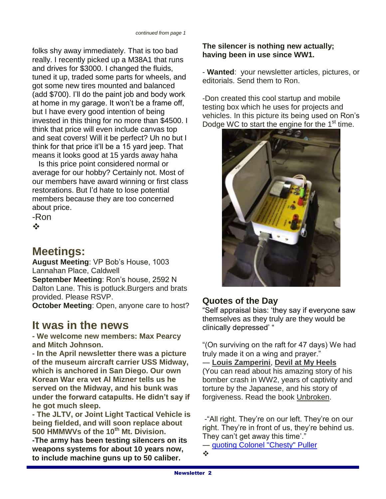folks shy away immediately. That is too bad really. I recently picked up a M38A1 that runs and drives for \$3000. I changed the fluids, tuned it up, traded some parts for wheels, and got some new tires mounted and balanced (add \$700). I'll do the paint job and body work at home in my garage. It won't be a frame off, but I have every good intention of being invested in this thing for no more than \$4500. I think that price will even include canvas top and seat covers! Will it be perfect? Uh no but I think for that price it'll be a 15 yard jeep. That means it looks good at 15 yards away haha

 Is this price point considered normal or average for our hobby? Certainly not. Most of our members have award winning or first class restorations. But I'd hate to lose potential members because they are too concerned about price.

-Ron  $\frac{1}{2}$ 

## **Meetings:**

**August Meeting**: VP Bob's House, 1003 Lannahan Place, Caldwell **September Meeting**: Ron's house, 2592 N Dalton Lane. This is potluck.Burgers and brats provided. Please RSVP. **October Meeting**: Open, anyone care to host?

## **It was in the news**

**- We welcome new members: Max Pearcy and Mitch Johnson.**

**- In the April newsletter there was a picture of the museum aircraft carrier USS Midway, which is anchored in San Diego. Our own Korean War era vet Al Mizner tells us he served on the Midway, and his bunk was under the forward catapults. He didn't say if he got much sleep.** 

**- The JLTV, or Joint Light Tactical Vehicle is being fielded, and will soon replace about 500 HMMWVs of the 10th Mt. Division.** 

**-The army has been testing silencers on its weapons systems for about 10 years now, to include machine guns up to 50 caliber.** 

#### **The silencer is nothing new actually; having been in use since WW1.**

- **Wanted**: your newsletter articles, pictures, or editorials. Send them to Ron.

-Don created this cool startup and mobile testing box which he uses for projects and vehicles. In this picture its being used on Ron's Dodge WC to start the engine for the 1<sup>st</sup> time.



#### **Quotes of the Day**

"Self appraisal bias: 'they say if everyone saw themselves as they truly are they would be clinically depressed' "

"(On surviving on the raft for 47 days) We had truly made it on a wing and prayer."

― **[Louis Zamperini](https://www.goodreads.com/author/show/207905.Louis_Zamperini)**, **[Devil at My Heels](https://www.goodreads.com/work/quotes/353573)** (You can read about his amazing story of his bomber crash in WW2, years of captivity and torture by the Japanese, and his story of forgiveness. Read the book Unbroken.

-"All right. They're on our left. They're on our right. They're in front of us, they're behind us. They can't get away this time'."

― [quoting Colonel "Chesty" Puller](http://www.goodreads.com/author/show/16879969.Jeff_Shaara_quoting_Colonel_Chesty_Puller)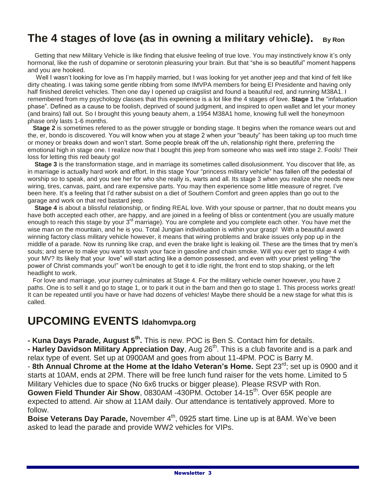## **The 4 stages of love (as in owning a military vehicle). By Ron**

 Getting that new Military Vehicle is like finding that elusive feeling of true love. You may instinctively know it's only hormonal, like the rush of dopamine or serotonin pleasuring your brain. But that "she is so beautiful" moment happens and you are hooked.

 Well I wasn't looking for love as I'm happily married, but I was looking for yet another jeep and that kind of felt like dirty cheating. I was taking some gentle ribbing from some IMVPA members for being El Presidente and having only half finished derelict vehicles. Then one day I opened up craigslist and found a beautiful red, and running M38A1. I remembered from my psychology classes that this experience is a lot like the 4 stages of love. **Stage 1** the "infatuation phase". Defined as a cause to be foolish, deprived of sound judgment, and inspired to open wallet and let your money (and brains) fall out. So I brought this young beauty ahem, a 1954 M38A1 home, knowing full well the honeymoon phase only lasts 1-6 months.

 **Stage 2** is sometimes refered to as the power struggle or bonding stage. It begins when the romance wears out and the, er, bondo is discovered. You will know when you at stage 2 when your "beauty" has been taking up too much time or money or breaks down and won't start. Some people break off the uh, relationship right there, preferring the emotional high in stage one. I realize now that I bought this jeep from someone who was well into stage 2. Fools! Their loss for letting this red beauty go!

 **Stage 3** is the transformation stage, and in marriage its sometimes called disolusionment. You discover that life, as in marriage is actually hard work and effort. In this stage Your "princess military vehicle" has fallen off the pedestal of worship so to speak, and you see her for who she really is, warts and all. Its stage 3 when you realize she needs new wiring, tires, canvas, paint, and rare expensive parts. You may then experience some little measure of regret. I've been here. It's a feeling that I'd rather subsist on a diet of Southern Comfort and green apples than go out to the garage and work on that red bastard jeep.

 **Stage 4** is about a blissful relationship, or finding REAL love. With your spouse or partner, that no doubt means you have both accepted each other, are happy, and are joined in a feeling of bliss or contentment (you are usually mature enough to reach this stage by your 3<sup>rd</sup> marriage). You are complete and you complete each other. You have met the wise man on the mountain, and he is you. Total Jungian individuation is within your grasp! With a beautiful award winning factory class military vehicle however, it means that wiring problems and brake issues only pop up in the middle of a parade. Now its running like crap, and even the brake light is leaking oil. These are the times that try men's souls; and serve to make you want to wash your face in gasoline and chain smoke. Will you ever get to stage 4 with your MV? Its likely that your love" will start acting like a demon possessed, and even with your priest yelling "the power of Christ commands you!" won't be enough to get it to idle right, the front end to stop shaking, or the left headlight to work.

 For love and marriage, your journey culminates at Stage 4. For the military vehicle owner however, you have 2 paths. One is to sell it and go to stage 1, or to park it out in the barn and then go to stage 1. This process works great! It can be repeated until you have or have had dozens of vehicles! Maybe there should be a new stage for what this is called.

## **UPCOMING EVENTS Idahomvpa.org**

**- Kuna Days Parade, August 5th .** This is new. POC is Ben S. Contact him for details.

**- Harley Davidson Military Appreciation Day**, Aug 26<sup>th</sup>. This is a club favorite and is a park and relax type of event. Set up at 0900AM and goes from about 11-4PM. POC is Barry M.

- **8th Annual Chrome at the Home at the Idaho Veteran's Home.** Sept 23rd; set up is 0900 and it starts at 10AM, ends at 2PM. There will be free lunch fund raiser for the vets home. Limited to 5 Military Vehicles due to space (No 6x6 trucks or bigger please). Please RSVP with Ron. **Gowen Field Thunder Air Show, 0830AM -430PM. October 14-15<sup>th</sup>. Over 65K people are** expected to attend. Air show at 11AM daily. Our attendance is tentatively approved. More to follow.

**Boise Veterans Day Parade, November 4<sup>th</sup>, 0925 start time. Line up is at 8AM. We've been** asked to lead the parade and provide WW2 vehicles for VIPs.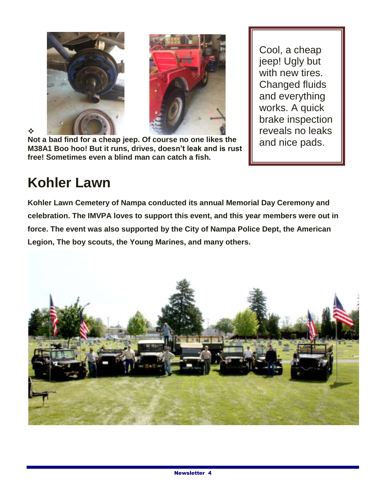



❖ **Not a bad find for a cheap jeep. Of course no one likes the M38A1 Boo hoo! But it runs, drives, doesn't leak and is rust free! Sometimes even a blind man can catch a fish.**

Cool, a cheap jeep! Ugly but with new tires. Changed fluids and everything works. A quick brake inspection reveals no leaks and nice pads.

# **Kohler Lawn**

**Kohler Lawn Cemetery of Nampa conducted its annual Memorial Day Ceremony and celebration. The IMVPA loves to support this event, and this year members were out in force. The event was also supported by the City of Nampa Police Dept, the American Legion, The boy scouts, the Young Marines, and many others.**